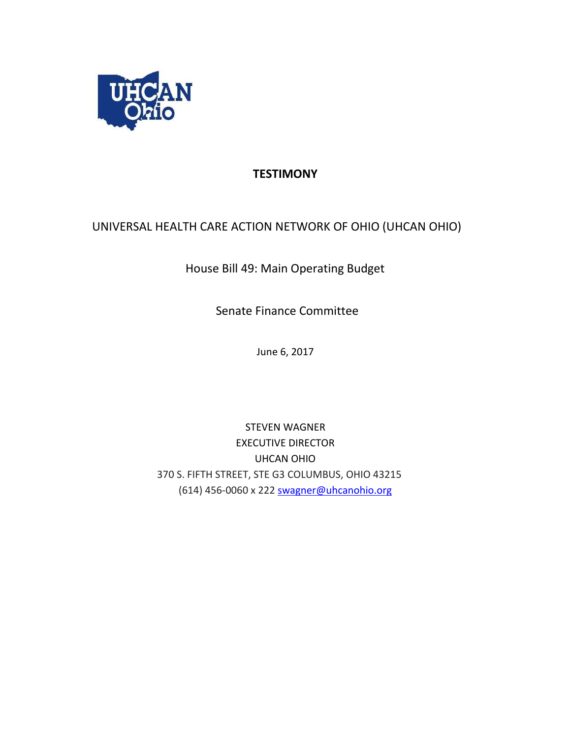

## **TESTIMONY**

## UNIVERSAL HEALTH CARE ACTION NETWORK OF OHIO (UHCAN OHIO)

House Bill 49: Main Operating Budget

Senate Finance Committee

June 6, 2017

STEVEN WAGNER EXECUTIVE DIRECTOR UHCAN OHIO 370 S. FIFTH STREET, STE G3 COLUMBUS, OHIO 43215 (614) 456-0060 x 222 swagner@uhcanohio.org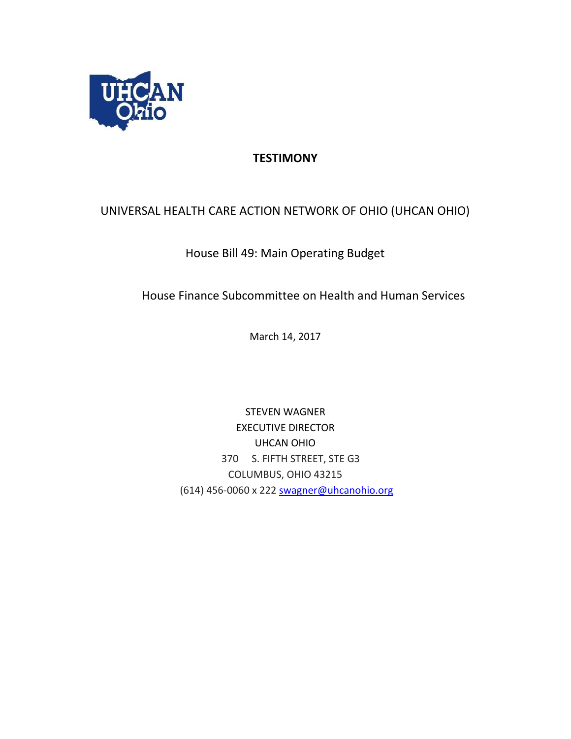

# **TESTIMONY**

## UNIVERSAL HEALTH CARE ACTION NETWORK OF OHIO (UHCAN OHIO)

## House Bill 49: Main Operating Budget

House Finance Subcommittee on Health and Human Services

March 14, 2017

STEVEN WAGNER EXECUTIVE DIRECTOR UHCAN OHIO 370 S. FIFTH STREET, STE G3 COLUMBUS, OHIO 43215 (614) 456-0060 x 222 swagner@uhcanohio.org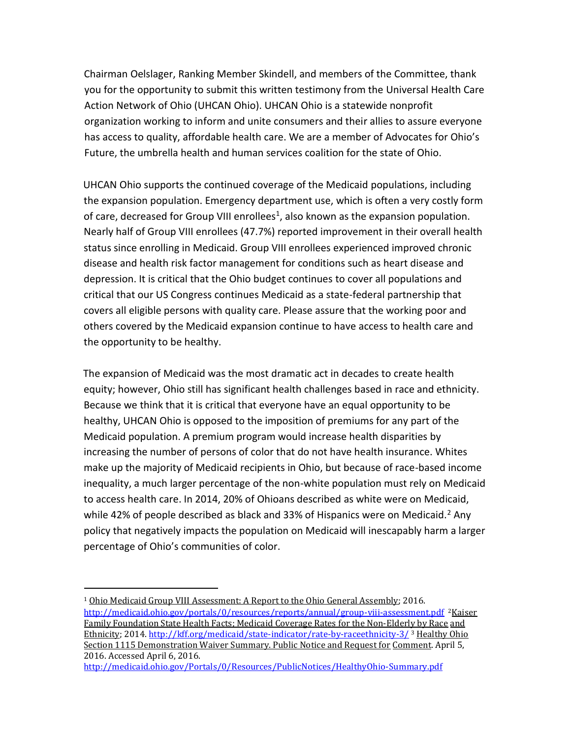Chairman Oelslager, Ranking Member Skindell, and members of the Committee, thank you for the opportunity to submit this written testimony from the Universal Health Care Action Network of Ohio (UHCAN Ohio). UHCAN Ohio is a statewide nonprofit organization working to inform and unite consumers and their allies to assure everyone has access to quality, affordable health care. We are a member of Advocates for Ohio's Future, the umbrella health and human services coalition for the state of Ohio.

UHCAN Ohio supports the continued coverage of the Medicaid populations, including the expansion population. Emergency department use, which is often a very costly form of care, decreased for Group VIII enrollees<sup>1</sup>, also known as the expansion population. Nearly half of Group VIII enrollees (47.7%) reported improvement in their overall health status since enrolling in Medicaid. Group VIII enrollees experienced improved chronic disease and health risk factor management for conditions such as heart disease and depression. It is critical that the Ohio budget continues to cover all populations and critical that our US Congress continues Medicaid as a state-federal partnership that covers all eligible persons with quality care. Please assure that the working poor and others covered by the Medicaid expansion continue to have access to health care and the opportunity to be healthy.

The expansion of Medicaid was the most dramatic act in decades to create health equity; however, Ohio still has significant health challenges based in race and ethnicity. Because we think that it is critical that everyone have an equal opportunity to be healthy, UHCAN Ohio is opposed to the imposition of premiums for any part of the Medicaid population. A premium program would increase health disparities by increasing the number of persons of color that do not have health insurance. Whites make up the majority of Medicaid recipients in Ohio, but because of race-based income inequality, a much larger percentage of the non-white population must rely on Medicaid to access health care. In 2014, 20% of Ohioans described as white were on Medicaid, while 42% of people described as black and 33% of Hispanics were on Medicaid.<sup>2</sup> Any policy that negatively impacts the population on Medicaid will inescapably harm a larger percentage of Ohio's communities of color.

 $\overline{a}$ 

<sup>&</sup>lt;sup>1</sup> Ohio Medicaid Group VIII Assessment: A Report to the Ohio General Assembly; 2016. <http://medicaid.ohio.gov/portals/0/resources/reports/annual/group-viii-assessment.pdf><sup>2</sup>Kaiser Family Foundation State Health Facts; Medicaid Coverage Rates for the Non-Elderly by Race and Ethnicity; 201[4.](http://kff.org/medicaid/state-indicator/rate-by-raceethnicity-3/) <http://kff.org/medicaid/state-indicator/rate-by-raceethnicity-3/> <sup>3</sup> Healthy Ohio Section 1115 Demonstration Waiver Summary. Public Notice and Request for Comment. April 5, 2016. Accessed April 6, 2016.

<http://medicaid.ohio.gov/Portals/0/Resources/PublicNotices/HealthyOhio-Summary.pdf>